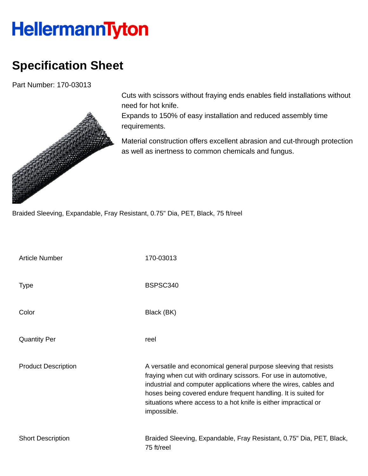## **HellermannTyton**

## **Specification Sheet**

Part Number: 170-03013



Cuts with scissors without fraying ends enables field installations without need for hot knife.

Expands to 150% of easy installation and reduced assembly time requirements.

Material construction offers excellent abrasion and cut-through protection as well as inertness to common chemicals and fungus.

Braided Sleeving, Expandable, Fray Resistant, 0.75" Dia, PET, Black, 75 ft/reel

| <b>Article Number</b>      | 170-03013                                                                                                                                                                                                                                                                                                                                                   |
|----------------------------|-------------------------------------------------------------------------------------------------------------------------------------------------------------------------------------------------------------------------------------------------------------------------------------------------------------------------------------------------------------|
| <b>Type</b>                | BSPSC340                                                                                                                                                                                                                                                                                                                                                    |
| Color                      | Black (BK)                                                                                                                                                                                                                                                                                                                                                  |
| <b>Quantity Per</b>        | reel                                                                                                                                                                                                                                                                                                                                                        |
| <b>Product Description</b> | A versatile and economical general purpose sleeving that resists<br>fraying when cut with ordinary scissors. For use in automotive,<br>industrial and computer applications where the wires, cables and<br>hoses being covered endure frequent handling. It is suited for<br>situations where access to a hot knife is either impractical or<br>impossible. |
| <b>Short Description</b>   | Braided Sleeving, Expandable, Fray Resistant, 0.75" Dia, PET, Black,<br>75 ft/reel                                                                                                                                                                                                                                                                          |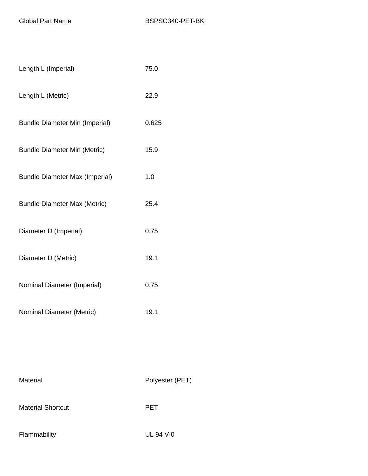| Length L (Imperial)                   | 75.0  |
|---------------------------------------|-------|
| Length L (Metric)                     | 22.9  |
| <b>Bundle Diameter Min (Imperial)</b> | 0.625 |
| <b>Bundle Diameter Min (Metric)</b>   | 15.9  |
| <b>Bundle Diameter Max (Imperial)</b> | 1.0   |
| <b>Bundle Diameter Max (Metric)</b>   | 25.4  |
| Diameter D (Imperial)                 | 0.75  |
| Diameter D (Metric)                   | 19.1  |
| Nominal Diameter (Imperial)           | 0.75  |
| Nominal Diameter (Metric)             | 19.1  |

Material Material Polyester (PET) Material Shortcut **PET** Flammability UL 94 V-0